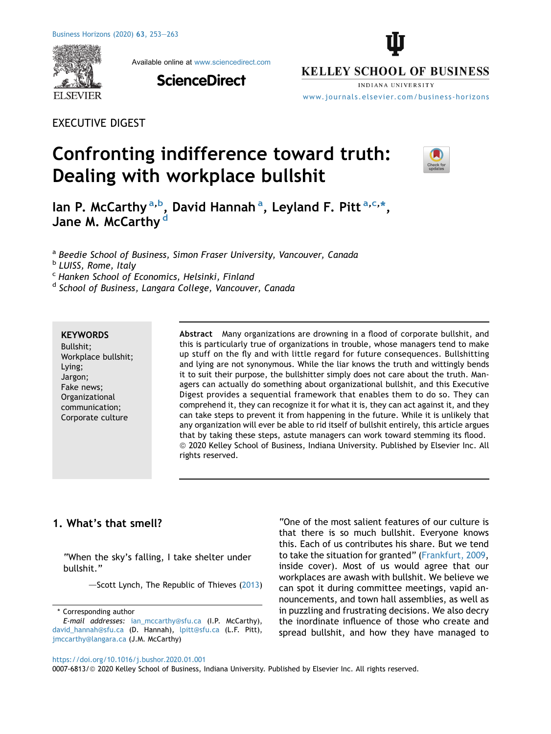

Available online at [www.sciencedirect.com](www.sciencedirect.com/science/journal/00076813)



**ScienceDirect** 



# Confronting indifference toward truth: Dealing with workplace bullshit



<www.journals.elsevier.com/business-horizons>

INDIANA UNIVERSITY

l[a](#page-0-0)n P. McCarthy <sup>a[,b](#page-0-1)</sup>, David Hannah <sup>a</sup>, Leyland F. Pitt <sup>a[,c](#page-0-2),[\\*](#page-0-3)</sup>, Jane M. McCarthy<sup>[d](#page-0-4)</sup>

<span id="page-0-0"></span><sup>a</sup> Beedie School of Business, Simon Fraser University, Vancouver, Canada

<span id="page-0-1"></span><sup>b</sup> LUISS, Rome, Italy

<span id="page-0-2"></span><sup>c</sup> Hanken School of Economics, Helsinki, Finland

<span id="page-0-4"></span><sup>d</sup> School of Business, Langara College, Vancouver, Canada

#### **KEYWORDS**

Bullshit; Workplace bullshit; Lying; Jargon; Fake news; Organizational communication; Corporate culture

Abstract Many organizations are drowning in a flood of corporate bullshit, and this is particularly true of organizations in trouble, whose managers tend to make up stuff on the fly and with little regard for future consequences. Bullshitting and lying are not synonymous. While the liar knows the truth and wittingly bends it to suit their purpose, the bullshitter simply does not care about the truth. Managers can actually do something about organizational bullshit, and this Executive Digest provides a sequential framework that enables them to do so. They can comprehend it, they can recognize it for what it is, they can act against it, and they can take steps to prevent it from happening in the future. While it is unlikely that any organization will ever be able to rid itself of bullshit entirely, this article argues that by taking these steps, astute managers can work toward stemming its flood. ª 2020 Kelley School of Business, Indiana University. Published by Elsevier Inc. All rights reserved.

# 1. What's that smell?

"When the sky's falling, I take shelter under bullshit."

 $-$ Scott Lynch, The Republic of Thieves ([2013](#page-10-0))

<span id="page-0-3"></span>\* Corresponding author

"One of the most salient features of our culture is that there is so much bullshit. Everyone knows this. Each of us contributes his share. But we tend to take the situation for granted" [\(Frankfurt, 2009](#page-10-1), inside cover). Most of us would agree that our workplaces are awash with bullshit. We believe we can spot it during committee meetings, vapid announcements, and town hall assemblies, as well as in puzzling and frustrating decisions. We also decry the inordinate influence of those who create and spread bullshit, and how they have managed to

<https://doi.org/10.1016/j.bushor.2020.01.001>

0007-6813/ 2020 Kelley School of Business, Indiana University. Published by Elsevier Inc. All rights reserved.

E-mail addresses: [ian\\_mccarthy@sfu.ca](mailto:ian_mccarthy@sfu.ca) (I.P. McCarthy), [david\\_hannah@sfu.ca](mailto:david_hannah@sfu.ca) (D. Hannah), [lpitt@sfu.ca](mailto:lpitt@sfu.ca) (L.F. Pitt), [jmccarthy@langara.ca](mailto:jmccarthy@langara.ca) (J.M. McCarthy)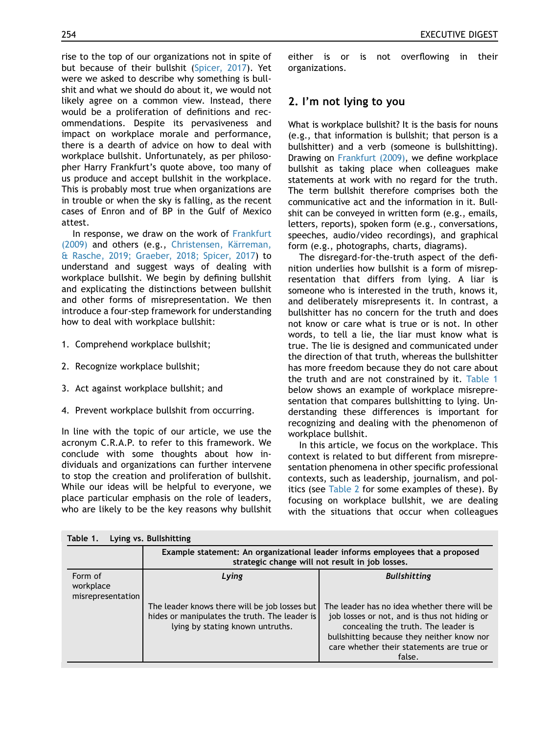rise to the top of our organizations not in spite of but because of their bullshit [\(Spicer, 2017\)](#page-10-2). Yet were we asked to describe why something is bullshit and what we should do about it, we would not likely agree on a common view. Instead, there would be a proliferation of definitions and recommendations. Despite its pervasiveness and impact on workplace morale and performance, there is a dearth of advice on how to deal with workplace bullshit. Unfortunately, as per philosopher Harry Frankfurt's quote above, too many of us produce and accept bullshit in the workplace. This is probably most true when organizations are in trouble or when the sky is falling, as the recent cases of Enron and of BP in the Gulf of Mexico attest.

In response, we draw on the work of [Frankfurt](#page-10-1) [\(2009\)](#page-10-1) and others (e.g., Christensen, Kärreman, [& Rasche, 2019; Graeber, 2018; Spicer, 2017\)](#page-10-3) to understand and suggest ways of dealing with workplace bullshit. We begin by defining bullshit and explicating the distinctions between bullshit and other forms of misrepresentation. We then introduce a four-step framework for understanding how to deal with workplace bullshit:

- 1. Comprehend workplace bullshit;
- 2. Recognize workplace bullshit;
- 3. Act against workplace bullshit; and
- 4. Prevent workplace bullshit from occurring.

In line with the topic of our article, we use the acronym C.R.A.P. to refer to this framework. We conclude with some thoughts about how individuals and organizations can further intervene to stop the creation and proliferation of bullshit. While our ideas will be helpful to everyone, we place particular emphasis on the role of leaders, who are likely to be the key reasons why bullshit either is or is not overflowing in their organizations.

### 2. I'm not lying to you

What is workplace bullshit? It is the basis for nouns (e.g., that information is bullshit; that person is a bullshitter) and a verb (someone is bullshitting). Drawing on [Frankfurt \(2009\),](#page-10-1) we define workplace bullshit as taking place when colleagues make statements at work with no regard for the truth. The term bullshit therefore comprises both the communicative act and the information in it. Bullshit can be conveyed in written form (e.g., emails, letters, reports), spoken form (e.g., conversations, speeches, audio/video recordings), and graphical form (e.g., photographs, charts, diagrams).

The disregard-for-the-truth aspect of the definition underlies how bullshit is a form of misrepresentation that differs from lying. A liar is someone who is interested in the truth, knows it, and deliberately misrepresents it. In contrast, a bullshitter has no concern for the truth and does not know or care what is true or is not. In other words, to tell a lie, the liar must know what is true. The lie is designed and communicated under the direction of that truth, whereas the bullshitter has more freedom because they do not care about the truth and are not constrained by it. [Table 1](#page-1-0) below shows an example of workplace misrepresentation that compares bullshitting to lying. Understanding these differences is important for recognizing and dealing with the phenomenon of workplace bullshit.

In this article, we focus on the workplace. This context is related to but different from misrepresentation phenomena in other specific professional contexts, such as leadership, journalism, and pol-itics (see [Table 2](#page-2-0) for some examples of these). By focusing on workplace bullshit, we are dealing with the situations that occur when colleagues

<span id="page-1-0"></span>

| Lying vs. Bullshitting<br>Table 1.        |                                                                                                                                    |                                                                                                                                                                                                                                          |  |
|-------------------------------------------|------------------------------------------------------------------------------------------------------------------------------------|------------------------------------------------------------------------------------------------------------------------------------------------------------------------------------------------------------------------------------------|--|
|                                           | Example statement: An organizational leader informs employees that a proposed<br>strategic change will not result in job losses.   |                                                                                                                                                                                                                                          |  |
| Form of<br>workplace<br>misrepresentation | Lying                                                                                                                              | <b>Bullshitting</b>                                                                                                                                                                                                                      |  |
|                                           | The leader knows there will be job losses but<br>hides or manipulates the truth. The leader is<br>lying by stating known untruths. | The leader has no idea whether there will be<br>job losses or not, and is thus not hiding or<br>concealing the truth. The leader is<br>bullshitting because they neither know nor<br>care whether their statements are true or<br>false. |  |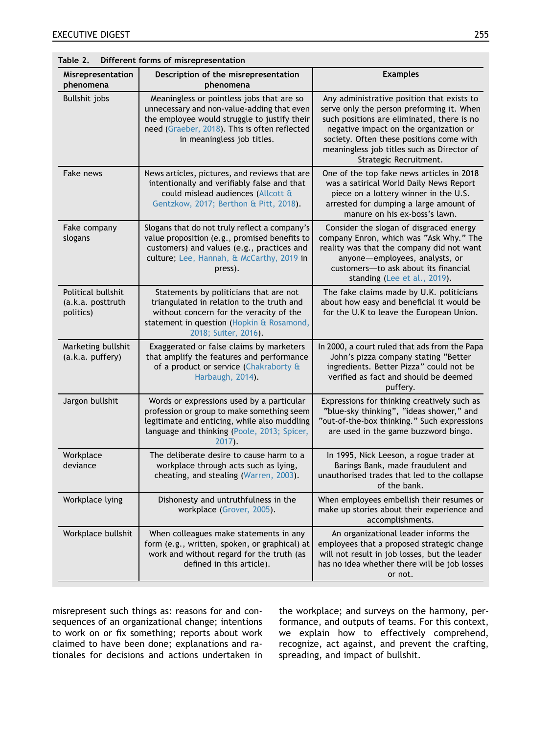<span id="page-2-0"></span>

| Table 2.<br>Different forms of misrepresentation     |                                                                                                                                                                                                                        |                                                                                                                                                                                                                                                                                                     |  |
|------------------------------------------------------|------------------------------------------------------------------------------------------------------------------------------------------------------------------------------------------------------------------------|-----------------------------------------------------------------------------------------------------------------------------------------------------------------------------------------------------------------------------------------------------------------------------------------------------|--|
| Misrepresentation<br>phenomena                       | Description of the misrepresentation<br>phenomena                                                                                                                                                                      | <b>Examples</b>                                                                                                                                                                                                                                                                                     |  |
| Bullshit jobs                                        | Meaningless or pointless jobs that are so<br>unnecessary and non-value-adding that even<br>the employee would struggle to justify their<br>need (Graeber, 2018). This is often reflected<br>in meaningless job titles. | Any administrative position that exists to<br>serve only the person preforming it. When<br>such positions are eliminated, there is no<br>negative impact on the organization or<br>society. Often these positions come with<br>meaningless job titles such as Director of<br>Strategic Recruitment. |  |
| Fake news                                            | News articles, pictures, and reviews that are<br>intentionally and verifiably false and that<br>could mislead audiences (Allcott &<br>Gentzkow, 2017; Berthon & Pitt, 2018).                                           | One of the top fake news articles in 2018<br>was a satirical World Daily News Report<br>piece on a lottery winner in the U.S.<br>arrested for dumping a large amount of<br>manure on his ex-boss's lawn.                                                                                            |  |
| Fake company<br>slogans                              | Slogans that do not truly reflect a company's<br>value proposition (e.g., promised benefits to<br>customers) and values (e.g., practices and<br>culture; Lee, Hannah, & McCarthy, 2019 in<br>press).                   | Consider the slogan of disgraced energy<br>company Enron, which was "Ask Why." The<br>reality was that the company did not want<br>anyone-employees, analysts, or<br>customers-to ask about its financial<br>standing (Lee et al., 2019).                                                           |  |
| Political bullshit<br>(a.k.a. posttruth<br>politics) | Statements by politicians that are not<br>triangulated in relation to the truth and<br>without concern for the veracity of the<br>statement in question (Hopkin & Rosamond,<br>2018; Suiter, 2016).                    | The fake claims made by U.K. politicians<br>about how easy and beneficial it would be<br>for the U.K to leave the European Union.                                                                                                                                                                   |  |
| Marketing bullshit<br>(a.k.a. puffery)               | Exaggerated or false claims by marketers<br>that amplify the features and performance<br>of a product or service (Chakraborty &<br>Harbaugh, 2014).                                                                    | In 2000, a court ruled that ads from the Papa<br>John's pizza company stating "Better<br>ingredients. Better Pizza" could not be<br>verified as fact and should be deemed<br>puffery.                                                                                                               |  |
| Jargon bullshit                                      | Words or expressions used by a particular<br>profession or group to make something seem<br>legitimate and enticing, while also muddling<br>language and thinking (Poole, 2013; Spicer,<br>$2017$ ).                    | Expressions for thinking creatively such as<br>"blue-sky thinking", "ideas shower," and<br>"out-of-the-box thinking." Such expressions<br>are used in the game buzzword bingo.                                                                                                                      |  |
| Workplace<br>deviance                                | The deliberate desire to cause harm to a<br>workplace through acts such as lying,<br>cheating, and stealing (Warren, 2003).                                                                                            | In 1995, Nick Leeson, a rogue trader at<br>Barings Bank, made fraudulent and<br>unauthorised trades that led to the collapse<br>of the bank.                                                                                                                                                        |  |
| Workplace lying                                      | Dishonesty and untruthfulness in the<br>workplace (Grover, 2005).                                                                                                                                                      | When employees embellish their resumes or<br>make up stories about their experience and<br>accomplishments.                                                                                                                                                                                         |  |
| Workplace bullshit                                   | When colleagues make statements in any<br>form (e.g., written, spoken, or graphical) at<br>work and without regard for the truth (as<br>defined in this article).                                                      | An organizational leader informs the<br>employees that a proposed strategic change<br>will not result in job losses, but the leader<br>has no idea whether there will be job losses<br>or not.                                                                                                      |  |

misrepresent such things as: reasons for and consequences of an organizational change; intentions to work on or fix something; reports about work claimed to have been done; explanations and rationales for decisions and actions undertaken in

the workplace; and surveys on the harmony, performance, and outputs of teams. For this context, we explain how to effectively comprehend, recognize, act against, and prevent the crafting, spreading, and impact of bullshit.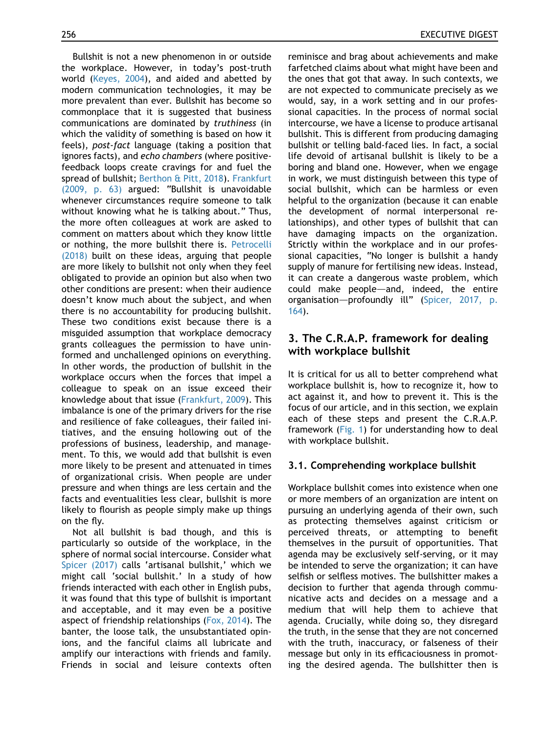Bullshit is not a new phenomenon in or outside the workplace. However, in today's post-truth world ([Keyes, 2004](#page-10-12)), and aided and abetted by modern communication technologies, it may be more prevalent than ever. Bullshit has become so commonplace that it is suggested that business communications are dominated by truthiness (in which the validity of something is based on how it feels), post-fact language (taking a position that ignores facts), and echo chambers (where positivefeedback loops create cravings for and fuel the spread of bullshit; [Berthon & Pitt, 2018\)](#page-10-13). [Frankfurt](#page-10-1) [\(2009, p. 63\)](#page-10-1) argued: "Bullshit is unavoidable whenever circumstances require someone to talk without knowing what he is talking about." Thus, the more often colleagues at work are asked to comment on matters about which they know little or nothing, the more bullshit there is. [Petrocelli](#page-10-14) [\(2018\)](#page-10-14) built on these ideas, arguing that people are more likely to bullshit not only when they feel obligated to provide an opinion but also when two other conditions are present: when their audience doesn't know much about the subject, and when there is no accountability for producing bullshit. These two conditions exist because there is a misguided assumption that workplace democracy grants colleagues the permission to have uninformed and unchallenged opinions on everything. In other words, the production of bullshit in the workplace occurs when the forces that impel a colleague to speak on an issue exceed their knowledge about that issue ([Frankfurt, 2009](#page-10-1)). This imbalance is one of the primary drivers for the rise and resilience of fake colleagues, their failed initiatives, and the ensuing hollowing out of the professions of business, leadership, and management. To this, we would add that bullshit is even more likely to be present and attenuated in times of organizational crisis. When people are under pressure and when things are less certain and the facts and eventualities less clear, bullshit is more likely to flourish as people simply make up things on the fly.

Not all bullshit is bad though, and this is particularly so outside of the workplace, in the sphere of normal social intercourse. Consider what [Spicer \(2017\)](#page-10-2) calls 'artisanal bullshit,' which we might call 'social bullshit.' In a study of how friends interacted with each other in English pubs, it was found that this type of bullshit is important and acceptable, and it may even be a positive aspect of friendship relationships [\(Fox, 2014](#page-10-15)). The banter, the loose talk, the unsubstantiated opinions, and the fanciful claims all lubricate and amplify our interactions with friends and family. Friends in social and leisure contexts often

reminisce and brag about achievements and make farfetched claims about what might have been and the ones that got that away. In such contexts, we are not expected to communicate precisely as we would, say, in a work setting and in our professional capacities. In the process of normal social intercourse, we have a license to produce artisanal bullshit. This is different from producing damaging bullshit or telling bald-faced lies. In fact, a social life devoid of artisanal bullshit is likely to be a boring and bland one. However, when we engage in work, we must distinguish between this type of social bullshit, which can be harmless or even helpful to the organization (because it can enable the development of normal interpersonal relationships), and other types of bullshit that can have damaging impacts on the organization. Strictly within the workplace and in our professional capacities, "No longer is bullshit a handy supply of manure for fertilising new ideas. Instead, it can create a dangerous waste problem, which  $could$  make  $people$ —and, indeed, the entire organisation-profoundly ill" [\(Spicer, 2017, p.](#page-10-2) [164](#page-10-2)).

## 3. The C.R.A.P. framework for dealing with workplace bullshit

It is critical for us all to better comprehend what workplace bullshit is, how to recognize it, how to act against it, and how to prevent it. This is the focus of our article, and in this section, we explain each of these steps and present the C.R.A.P. framework [\(Fig. 1\)](#page-4-0) for understanding how to deal with workplace bullshit.

## 3.1. Comprehending workplace bullshit

Workplace bullshit comes into existence when one or more members of an organization are intent on pursuing an underlying agenda of their own, such as protecting themselves against criticism or perceived threats, or attempting to benefit themselves in the pursuit of opportunities. That agenda may be exclusively self-serving, or it may be intended to serve the organization; it can have selfish or selfless motives. The bullshitter makes a decision to further that agenda through communicative acts and decides on a message and a medium that will help them to achieve that agenda. Crucially, while doing so, they disregard the truth, in the sense that they are not concerned with the truth, inaccuracy, or falseness of their message but only in its efficaciousness in promoting the desired agenda. The bullshitter then is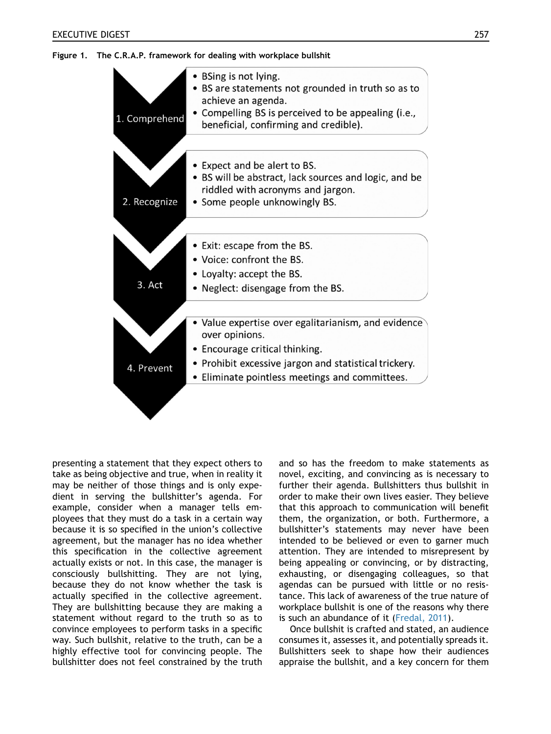#### <span id="page-4-0"></span>Figure 1. The C.R.A.P. framework for dealing with workplace bullshit

| 1. Comprehend | BSing is not lying.<br>BS are statements not grounded in truth so as to<br>achieve an agenda.<br>Compelling BS is perceived to be appealing (i.e.,<br>beneficial, confirming and credible).                      |
|---------------|------------------------------------------------------------------------------------------------------------------------------------------------------------------------------------------------------------------|
| 2. Recognize  | Expect and be alert to BS.<br>• BS will be abstract, lack sources and logic, and be<br>riddled with acronyms and jargon.<br>• Some people unknowingly BS.                                                        |
| 3. Act        | • Exit: escape from the BS.<br>• Voice: confront the BS.<br>• Loyalty: accept the BS.<br>• Neglect: disengage from the BS.                                                                                       |
| 4. Prevent    | Value expertise over egalitarianism, and evidence<br>over opinions.<br>• Encourage critical thinking.<br>• Prohibit excessive jargon and statistical trickery.<br>• Eliminate pointless meetings and committees. |
|               |                                                                                                                                                                                                                  |

presenting a statement that they expect others to take as being objective and true, when in reality it may be neither of those things and is only expedient in serving the bullshitter's agenda. For example, consider when a manager tells employees that they must do a task in a certain way because it is so specified in the union's collective agreement, but the manager has no idea whether this specification in the collective agreement actually exists or not. In this case, the manager is consciously bullshitting. They are not lying, because they do not know whether the task is actually specified in the collective agreement. They are bullshitting because they are making a statement without regard to the truth so as to convince employees to perform tasks in a specific way. Such bullshit, relative to the truth, can be a highly effective tool for convincing people. The bullshitter does not feel constrained by the truth and so has the freedom to make statements as novel, exciting, and convincing as is necessary to further their agenda. Bullshitters thus bullshit in order to make their own lives easier. They believe that this approach to communication will benefit them, the organization, or both. Furthermore, a bullshitter's statements may never have been intended to be believed or even to garner much attention. They are intended to misrepresent by being appealing or convincing, or by distracting, exhausting, or disengaging colleagues, so that agendas can be pursued with little or no resistance. This lack of awareness of the true nature of workplace bullshit is one of the reasons why there is such an abundance of it ([Fredal, 2011\)](#page-10-16).

Once bullshit is crafted and stated, an audience consumes it, assesses it, and potentially spreads it. Bullshitters seek to shape how their audiences appraise the bullshit, and a key concern for them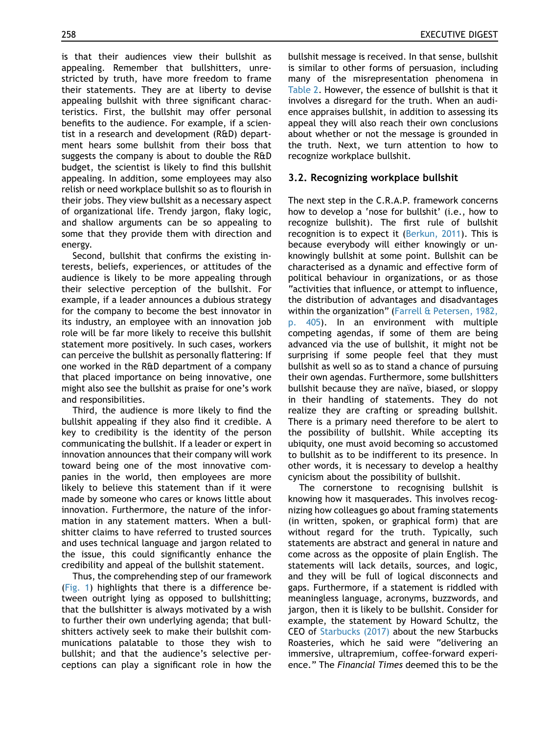is that their audiences view their bullshit as appealing. Remember that bullshitters, unrestricted by truth, have more freedom to frame their statements. They are at liberty to devise appealing bullshit with three significant characteristics. First, the bullshit may offer personal benefits to the audience. For example, if a scientist in a research and development (R&D) department hears some bullshit from their boss that suggests the company is about to double the R&D budget, the scientist is likely to find this bullshit appealing. In addition, some employees may also relish or need workplace bullshit so as to flourish in their jobs. They view bullshit as a necessary aspect of organizational life. Trendy jargon, flaky logic, and shallow arguments can be so appealing to some that they provide them with direction and energy.

Second, bullshit that confirms the existing interests, beliefs, experiences, or attitudes of the audience is likely to be more appealing through their selective perception of the bullshit. For example, if a leader announces a dubious strategy for the company to become the best innovator in its industry, an employee with an innovation job role will be far more likely to receive this bullshit statement more positively. In such cases, workers can perceive the bullshit as personally flattering: If one worked in the R&D department of a company that placed importance on being innovative, one might also see the bullshit as praise for one's work and responsibilities.

Third, the audience is more likely to find the bullshit appealing if they also find it credible. A key to credibility is the identity of the person communicating the bullshit. If a leader or expert in innovation announces that their company will work toward being one of the most innovative companies in the world, then employees are more likely to believe this statement than if it were made by someone who cares or knows little about innovation. Furthermore, the nature of the information in any statement matters. When a bullshitter claims to have referred to trusted sources and uses technical language and jargon related to the issue, this could significantly enhance the credibility and appeal of the bullshit statement.

Thus, the comprehending step of our framework [\(Fig. 1\)](#page-4-0) highlights that there is a difference between outright lying as opposed to bullshitting; that the bullshitter is always motivated by a wish to further their own underlying agenda; that bullshitters actively seek to make their bullshit communications palatable to those they wish to bullshit; and that the audience's selective perceptions can play a significant role in how the bullshit message is received. In that sense, bullshit is similar to other forms of persuasion, including many of the misrepresentation phenomena in [Table 2](#page-2-0). However, the essence of bullshit is that it involves a disregard for the truth. When an audience appraises bullshit, in addition to assessing its appeal they will also reach their own conclusions about whether or not the message is grounded in the truth. Next, we turn attention to how to recognize workplace bullshit.

## 3.2. Recognizing workplace bullshit

The next step in the C.R.A.P. framework concerns how to develop a 'nose for bullshit' (i.e., how to recognize bullshit). The first rule of bullshit recognition is to expect it ([Berkun, 2011](#page-10-17)). This is because everybody will either knowingly or unknowingly bullshit at some point. Bullshit can be characterised as a dynamic and effective form of political behaviour in organizations, or as those "activities that influence, or attempt to influence, the distribution of advantages and disadvantages within the organization" ([Farrell & Petersen, 1982,](#page-10-18) [p. 405\)](#page-10-18). In an environment with multiple competing agendas, if some of them are being advanced via the use of bullshit, it might not be surprising if some people feel that they must bullshit as well so as to stand a chance of pursuing their own agendas. Furthermore, some bullshitters bullshit because they are naïve, biased, or sloppy in their handling of statements. They do not realize they are crafting or spreading bullshit. There is a primary need therefore to be alert to the possibility of bullshit. While accepting its ubiquity, one must avoid becoming so accustomed to bullshit as to be indifferent to its presence. In other words, it is necessary to develop a healthy cynicism about the possibility of bullshit.

The cornerstone to recognising bullshit is knowing how it masquerades. This involves recognizing how colleagues go about framing statements (in written, spoken, or graphical form) that are without regard for the truth. Typically, such statements are abstract and general in nature and come across as the opposite of plain English. The statements will lack details, sources, and logic, and they will be full of logical disconnects and gaps. Furthermore, if a statement is riddled with meaningless language, acronyms, buzzwords, and jargon, then it is likely to be bullshit. Consider for example, the statement by Howard Schultz, the CEO of [Starbucks \(2017\)](#page-10-19) about the new Starbucks Roasteries, which he said were "delivering an immersive, ultrapremium, coffee-forward experience." The Financial Times deemed this to be the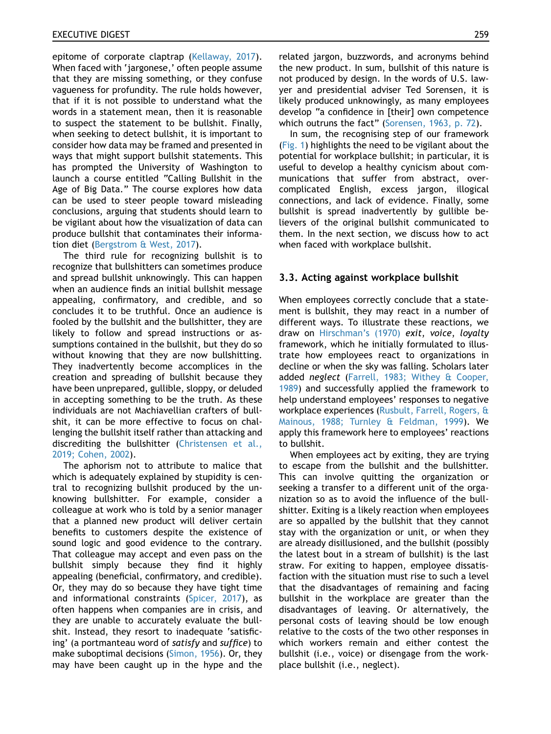epitome of corporate claptrap ([Kellaway, 2017](#page-10-20)). When faced with 'jargonese,' often people assume that they are missing something, or they confuse vagueness for profundity. The rule holds however, that if it is not possible to understand what the words in a statement mean, then it is reasonable to suspect the statement to be bullshit. Finally, when seeking to detect bullshit, it is important to consider how data may be framed and presented in ways that might support bullshit statements. This has prompted the University of Washington to launch a course entitled "Calling Bullshit in the Age of Big Data." The course explores how data can be used to steer people toward misleading conclusions, arguing that students should learn to be vigilant about how the visualization of data can produce bullshit that contaminates their information diet ([Bergstrom & West, 2017](#page-10-21)).

The third rule for recognizing bullshit is to recognize that bullshitters can sometimes produce and spread bullshit unknowingly. This can happen when an audience finds an initial bullshit message appealing, confirmatory, and credible, and so concludes it to be truthful. Once an audience is fooled by the bullshit and the bullshitter, they are likely to follow and spread instructions or assumptions contained in the bullshit, but they do so without knowing that they are now bullshitting. They inadvertently become accomplices in the creation and spreading of bullshit because they have been unprepared, gullible, sloppy, or deluded in accepting something to be the truth. As these individuals are not Machiavellian crafters of bullshit, it can be more effective to focus on challenging the bullshit itself rather than attacking and discrediting the bullshitter ([Christensen et al.,](#page-10-3) [2019; Cohen, 2002](#page-10-3)).

The aphorism not to attribute to malice that which is adequately explained by stupidity is central to recognizing bullshit produced by the unknowing bullshitter. For example, consider a colleague at work who is told by a senior manager that a planned new product will deliver certain benefits to customers despite the existence of sound logic and good evidence to the contrary. That colleague may accept and even pass on the bullshit simply because they find it highly appealing (beneficial, confirmatory, and credible). Or, they may do so because they have tight time and informational constraints [\(Spicer, 2017](#page-10-2)), as often happens when companies are in crisis, and they are unable to accurately evaluate the bullshit. Instead, they resort to inadequate 'satisficing' (a portmanteau word of satisfy and suffice) to make suboptimal decisions [\(Simon, 1956](#page-10-22)). Or, they may have been caught up in the hype and the related jargon, buzzwords, and acronyms behind the new product. In sum, bullshit of this nature is not produced by design. In the words of U.S. lawyer and presidential adviser Ted Sorensen, it is likely produced unknowingly, as many employees develop "a confidence in [their] own competence which outruns the fact" ([Sorensen, 1963, p. 72\)](#page-10-23).

In sum, the recognising step of our framework [\(Fig. 1\)](#page-4-0) highlights the need to be vigilant about the potential for workplace bullshit; in particular, it is useful to develop a healthy cynicism about communications that suffer from abstract, overcomplicated English, excess jargon, illogical connections, and lack of evidence. Finally, some bullshit is spread inadvertently by gullible believers of the original bullshit communicated to them. In the next section, we discuss how to act when faced with workplace bullshit.

#### 3.3. Acting against workplace bullshit

When employees correctly conclude that a statement is bullshit, they may react in a number of different ways. To illustrate these reactions, we draw on [Hirschman's \(1970\)](#page-10-24) exit, voice, loyalty framework, which he initially formulated to illustrate how employees react to organizations in decline or when the sky was falling. Scholars later added neglect ([Farrell, 1983; Withey & Cooper,](#page-10-25) [1989](#page-10-25)) and successfully applied the framework to help understand employees' responses to negative workplace experiences [\(Rusbult, Farrell, Rogers, &](#page-10-26) [Mainous, 1988; Turnley & Feldman, 1999](#page-10-26)). We apply this framework here to employees' reactions to bullshit.

When employees act by exiting, they are trying to escape from the bullshit and the bullshitter. This can involve quitting the organization or seeking a transfer to a different unit of the organization so as to avoid the influence of the bullshitter. Exiting is a likely reaction when employees are so appalled by the bullshit that they cannot stay with the organization or unit, or when they are already disillusioned, and the bullshit (possibly the latest bout in a stream of bullshit) is the last straw. For exiting to happen, employee dissatisfaction with the situation must rise to such a level that the disadvantages of remaining and facing bullshit in the workplace are greater than the disadvantages of leaving. Or alternatively, the personal costs of leaving should be low enough relative to the costs of the two other responses in which workers remain and either contest the bullshit (i.e., voice) or disengage from the workplace bullshit (i.e., neglect).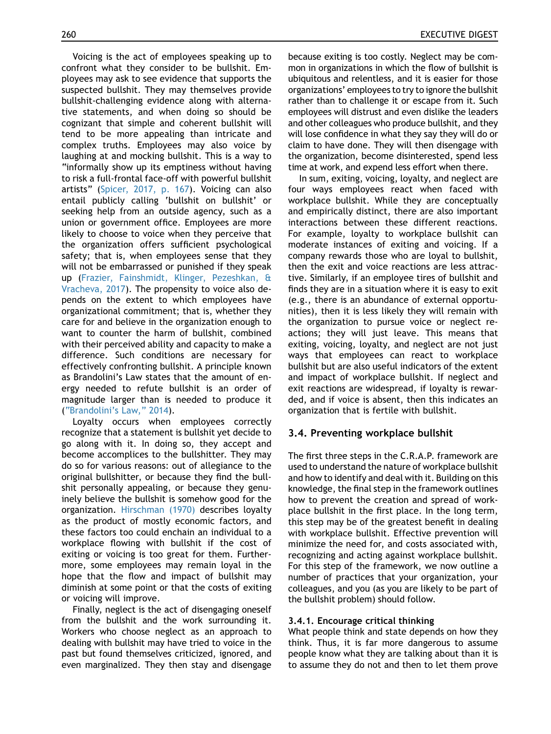Voicing is the act of employees speaking up to confront what they consider to be bullshit. Employees may ask to see evidence that supports the suspected bullshit. They may themselves provide bullshit-challenging evidence along with alternative statements, and when doing so should be cognizant that simple and coherent bullshit will tend to be more appealing than intricate and complex truths. Employees may also voice by laughing at and mocking bullshit. This is a way to "informally show up its emptiness without having to risk a full-frontal face-off with powerful bullshit artists" ([Spicer, 2017, p. 167\)](#page-10-2). Voicing can also entail publicly calling 'bullshit on bullshit' or seeking help from an outside agency, such as a union or government office. Employees are more likely to choose to voice when they perceive that the organization offers sufficient psychological safety; that is, when employees sense that they will not be embarrassed or punished if they speak up [\(Frazier, Fainshmidt, Klinger, Pezeshkan, &](#page-10-27) [Vracheva, 2017\)](#page-10-27). The propensity to voice also depends on the extent to which employees have organizational commitment; that is, whether they care for and believe in the organization enough to want to counter the harm of bullshit, combined with their perceived ability and capacity to make a difference. Such conditions are necessary for effectively confronting bullshit. A principle known as Brandolini's Law states that the amount of energy needed to refute bullshit is an order of magnitude larger than is needed to produce it [\("Brandolini's Law," 2014](#page-10-28)).

Loyalty occurs when employees correctly recognize that a statement is bullshit yet decide to go along with it. In doing so, they accept and become accomplices to the bullshitter. They may do so for various reasons: out of allegiance to the original bullshitter, or because they find the bullshit personally appealing, or because they genuinely believe the bullshit is somehow good for the organization. [Hirschman \(1970\)](#page-10-24) describes loyalty as the product of mostly economic factors, and these factors too could enchain an individual to a workplace flowing with bullshit if the cost of exiting or voicing is too great for them. Furthermore, some employees may remain loyal in the hope that the flow and impact of bullshit may diminish at some point or that the costs of exiting or voicing will improve.

Finally, neglect is the act of disengaging oneself from the bullshit and the work surrounding it. Workers who choose neglect as an approach to dealing with bullshit may have tried to voice in the past but found themselves criticized, ignored, and even marginalized. They then stay and disengage

because exiting is too costly. Neglect may be common in organizations in which the flow of bullshit is ubiquitous and relentless, and it is easier for those organizations' employees to try to ignore the bullshit rather than to challenge it or escape from it. Such employees will distrust and even dislike the leaders and other colleagues who produce bullshit, and they will lose confidence in what they say they will do or claim to have done. They will then disengage with the organization, become disinterested, spend less time at work, and expend less effort when there.

In sum, exiting, voicing, loyalty, and neglect are four ways employees react when faced with workplace bullshit. While they are conceptually and empirically distinct, there are also important interactions between these different reactions. For example, loyalty to workplace bullshit can moderate instances of exiting and voicing. If a company rewards those who are loyal to bullshit, then the exit and voice reactions are less attractive. Similarly, if an employee tires of bullshit and finds they are in a situation where it is easy to exit (e.g., there is an abundance of external opportunities), then it is less likely they will remain with the organization to pursue voice or neglect reactions; they will just leave. This means that exiting, voicing, loyalty, and neglect are not just ways that employees can react to workplace bullshit but are also useful indicators of the extent and impact of workplace bullshit. If neglect and exit reactions are widespread, if loyalty is rewarded, and if voice is absent, then this indicates an organization that is fertile with bullshit.

#### 3.4. Preventing workplace bullshit

The first three steps in the C.R.A.P. framework are used to understand the nature of workplace bullshit and how to identify and deal with it. Building on this knowledge, the final step in the framework outlines how to prevent the creation and spread of workplace bullshit in the first place. In the long term, this step may be of the greatest benefit in dealing with workplace bullshit. Effective prevention will minimize the need for, and costs associated with, recognizing and acting against workplace bullshit. For this step of the framework, we now outline a number of practices that your organization, your colleagues, and you (as you are likely to be part of the bullshit problem) should follow.

#### 3.4.1. Encourage critical thinking

What people think and state depends on how they think. Thus, it is far more dangerous to assume people know what they are talking about than it is to assume they do not and then to let them prove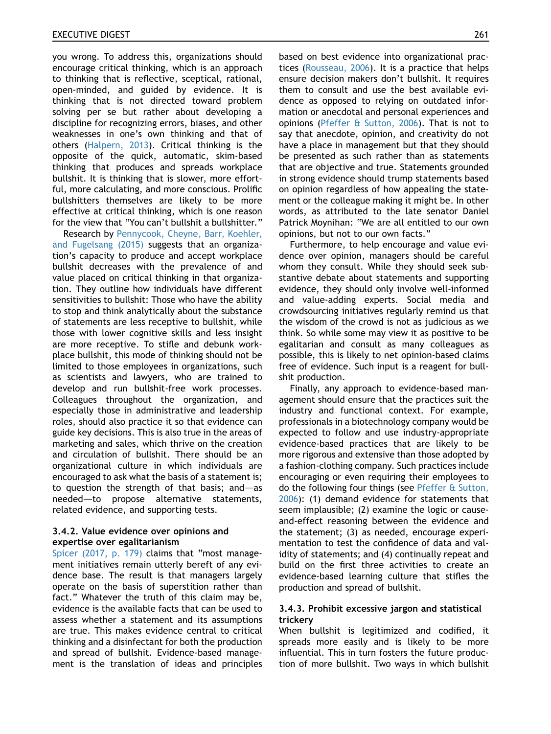you wrong. To address this, organizations should encourage critical thinking, which is an approach to thinking that is reflective, sceptical, rational, open-minded, and guided by evidence. It is thinking that is not directed toward problem solving per se but rather about developing a discipline for recognizing errors, biases, and other weaknesses in one's own thinking and that of others ([Halpern, 2013\)](#page-10-29). Critical thinking is the opposite of the quick, automatic, skim-based thinking that produces and spreads workplace bullshit. It is thinking that is slower, more effortful, more calculating, and more conscious. Prolific bullshitters themselves are likely to be more effective at critical thinking, which is one reason for the view that "You can't bullshit a bullshitter."

Research by [Pennycook, Cheyne, Barr, Koehler,](#page-10-30) [and Fugelsang \(2015\)](#page-10-30) suggests that an organization's capacity to produce and accept workplace bullshit decreases with the prevalence of and value placed on critical thinking in that organization. They outline how individuals have different sensitivities to bullshit: Those who have the ability to stop and think analytically about the substance of statements are less receptive to bullshit, while those with lower cognitive skills and less insight are more receptive. To stifle and debunk workplace bullshit, this mode of thinking should not be limited to those employees in organizations, such as scientists and lawyers, who are trained to develop and run bullshit-free work processes. Colleagues throughout the organization, and especially those in administrative and leadership roles, should also practice it so that evidence can guide key decisions. This is also true in the areas of marketing and sales, which thrive on the creation and circulation of bullshit. There should be an organizational culture in which individuals are encouraged to ask what the basis of a statement is; to question the strength of that basis; and  $-\text{as}$ needed—to propose alternative statements, related evidence, and supporting tests.

#### 3.4.2. Value evidence over opinions and expertise over egalitarianism

[Spicer \(2017, p. 179\)](#page-10-2) claims that "most management initiatives remain utterly bereft of any evidence base. The result is that managers largely operate on the basis of superstition rather than fact." Whatever the truth of this claim may be, evidence is the available facts that can be used to assess whether a statement and its assumptions are true. This makes evidence central to critical thinking and a disinfectant for both the production and spread of bullshit. Evidence-based management is the translation of ideas and principles based on best evidence into organizational practices [\(Rousseau, 2006\)](#page-10-31). It is a practice that helps ensure decision makers don't bullshit. It requires them to consult and use the best available evidence as opposed to relying on outdated information or anecdotal and personal experiences and opinions ([Pfeffer & Sutton, 2006](#page-10-32)). That is not to say that anecdote, opinion, and creativity do not have a place in management but that they should be presented as such rather than as statements that are objective and true. Statements grounded in strong evidence should trump statements based on opinion regardless of how appealing the statement or the colleague making it might be. In other words, as attributed to the late senator Daniel Patrick Moynihan: "We are all entitled to our own opinions, but not to our own facts."

Furthermore, to help encourage and value evidence over opinion, managers should be careful whom they consult. While they should seek substantive debate about statements and supporting evidence, they should only involve well-informed and value-adding experts. Social media and crowdsourcing initiatives regularly remind us that the wisdom of the crowd is not as judicious as we think. So while some may view it as positive to be egalitarian and consult as many colleagues as possible, this is likely to net opinion-based claims free of evidence. Such input is a reagent for bullshit production.

Finally, any approach to evidence-based management should ensure that the practices suit the industry and functional context. For example, professionals in a biotechnology company would be expected to follow and use industry-appropriate evidence-based practices that are likely to be more rigorous and extensive than those adopted by a fashion-clothing company. Such practices include encouraging or even requiring their employees to do the following four things (see [Pfeffer & Sutton,](#page-10-32) [2006](#page-10-32)): (1) demand evidence for statements that seem implausible; (2) examine the logic or causeand-effect reasoning between the evidence and the statement; (3) as needed, encourage experimentation to test the confidence of data and validity of statements; and (4) continually repeat and build on the first three activities to create an evidence-based learning culture that stifles the production and spread of bullshit.

#### 3.4.3. Prohibit excessive jargon and statistical trickery

When bullshit is legitimized and codified, it spreads more easily and is likely to be more influential. This in turn fosters the future production of more bullshit. Two ways in which bullshit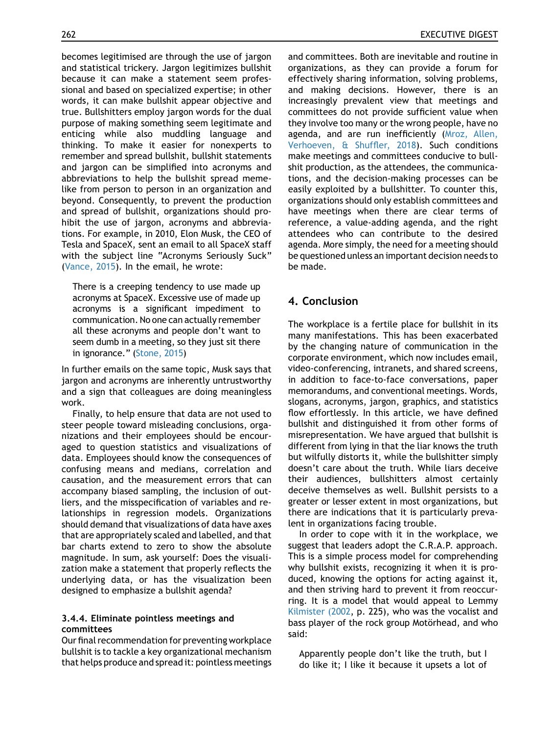becomes legitimised are through the use of jargon and statistical trickery. Jargon legitimizes bullshit because it can make a statement seem professional and based on specialized expertise; in other words, it can make bullshit appear objective and true. Bullshitters employ jargon words for the dual purpose of making something seem legitimate and enticing while also muddling language and thinking. To make it easier for nonexperts to remember and spread bullshit, bullshit statements and jargon can be simplified into acronyms and abbreviations to help the bullshit spread memelike from person to person in an organization and beyond. Consequently, to prevent the production and spread of bullshit, organizations should prohibit the use of jargon, acronyms and abbreviations. For example, in 2010, Elon Musk, the CEO of Tesla and SpaceX, sent an email to all SpaceX staff with the subject line "Acronyms Seriously Suck" [\(Vance, 2015\)](#page-10-33). In the email, he wrote:

There is a creeping tendency to use made up acronyms at SpaceX. Excessive use of made up acronyms is a significant impediment to communication. No one can actually remember all these acronyms and people don't want to seem dumb in a meeting, so they just sit there in ignorance." [\(Stone, 2015](#page-10-34))

In further emails on the same topic, Musk says that jargon and acronyms are inherently untrustworthy and a sign that colleagues are doing meaningless work.

Finally, to help ensure that data are not used to steer people toward misleading conclusions, organizations and their employees should be encouraged to question statistics and visualizations of data. Employees should know the consequences of confusing means and medians, correlation and causation, and the measurement errors that can accompany biased sampling, the inclusion of outliers, and the misspecification of variables and relationships in regression models. Organizations should demand that visualizations of data have axes that are appropriately scaled and labelled, and that bar charts extend to zero to show the absolute magnitude. In sum, ask yourself: Does the visualization make a statement that properly reflects the underlying data, or has the visualization been designed to emphasize a bullshit agenda?

#### 3.4.4. Eliminate pointless meetings and committees

Our final recommendation for preventing workplace bullshit is to tackle a key organizational mechanism that helps produce and spread it: pointless meetings

and committees. Both are inevitable and routine in organizations, as they can provide a forum for effectively sharing information, solving problems, and making decisions. However, there is an increasingly prevalent view that meetings and committees do not provide sufficient value when they involve too many or the wrong people, have no agenda, and are run inefficiently [\(Mroz, Allen,](#page-10-35) [Verhoeven, & Shuffler, 2018](#page-10-35)). Such conditions make meetings and committees conducive to bullshit production, as the attendees, the communications, and the decision-making processes can be easily exploited by a bullshitter. To counter this, organizations should only establish committees and have meetings when there are clear terms of reference, a value-adding agenda, and the right attendees who can contribute to the desired agenda. More simply, the need for a meeting should be questioned unless an important decision needs to be made.

# 4. Conclusion

The workplace is a fertile place for bullshit in its many manifestations. This has been exacerbated by the changing nature of communication in the corporate environment, which now includes email, video-conferencing, intranets, and shared screens, in addition to face-to-face conversations, paper memorandums, and conventional meetings. Words, slogans, acronyms, jargon, graphics, and statistics flow effortlessly. In this article, we have defined bullshit and distinguished it from other forms of misrepresentation. We have argued that bullshit is different from lying in that the liar knows the truth but wilfully distorts it, while the bullshitter simply doesn't care about the truth. While liars deceive their audiences, bullshitters almost certainly deceive themselves as well. Bullshit persists to a greater or lesser extent in most organizations, but there are indications that it is particularly prevalent in organizations facing trouble.

In order to cope with it in the workplace, we suggest that leaders adopt the C.R.A.P. approach. This is a simple process model for comprehending why bullshit exists, recognizing it when it is produced, knowing the options for acting against it, and then striving hard to prevent it from reoccurring. It is a model that would appeal to Lemmy [Kilmister \(2002](#page-10-36), p. 225), who was the vocalist and bass player of the rock group Motörhead, and who said:

Apparently people don't like the truth, but I do like it; I like it because it upsets a lot of